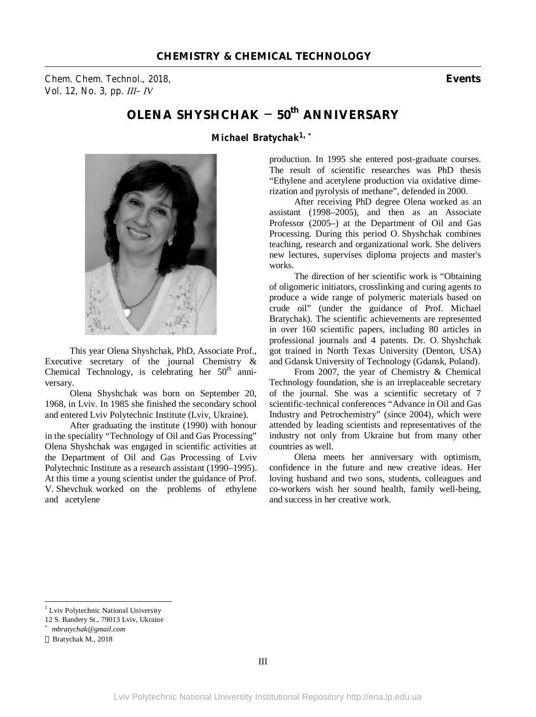*Chem. Chem. Technol., 2018,* **Events** *Vol. 12, No. 3, pp. ІІІ–ІV* 

## **OLENA SHYSHCHAK – 50th ANNIVERSARY**

*Michael Bratychak1, \**



This year Olena Shyshchak, PhD, Associate Prof., Executive secretary of the journal Chemistry & Chemical Technology, is celebrating her  $50<sup>th</sup>$  anniversary.

Olena Shyshchak was born on September 20, 1968, in Lviv. In 1985 she finished the secondary school and entered Lviv Polytechnic Institute (Lviv, Ukraine).

After graduating the institute (1990) with honour in the speciality "Technology of Oil and Gas Processing" Olena Shyshchak was engaged in scientific activities at the Department of Oil and Gas Processing of Lviv Polytechnic Institute as a research assistant (1990–1995). At this time a young scientist under the guidance of Prof. V. Shevchuk worked on the problems of ethylene and acetylene

production. In 1995 she entered post-graduate courses. The result of scientific researches was PhD thesis "Ethylene and acetylene production via oxidative dimerization and pyrolysis of methane", defended in 2000.

After receiving PhD degree Olena worked as an assistant (1998–2005), and then as an Associate Professor (2005–) at the Department of Oil and Gas Processing. During this period O. Shyshchak combines teaching, research and organizational work. She delivers new lectures, supervises diploma projects and master's works.

The direction of her scientific work is "Obtaining of oligomeric initiators, crosslinking and curing agents to produce a wide range of polymeric materials based on crude oil" (under the guidance of Prof. Michael Bratychak). The scientific achievements are represented in over 160 scientific papers, including 80 articles in professional journals and 4 patents. Dr. O. Shyshchak got trained in North Texas University (Denton, USA) and Gdansk University of Technology (Gdansk, Poland).

From 2007, the year of Chemistry & Chemical Technology foundation, she is an irreplaceable secretary of the journal. She was a scientific secretary of 7 scientific-technical conferences "Advance in Oil and Gas Industry and Petrochemistry" (since 2004), which were attended by leading scientists and representatives of the industry not only from Ukraine but from many other countries as well.

Olena meets her anniversary with optimism, confidence in the future and new creative ideas. Her loving husband and two sons, students, colleagues and co-workers wish her sound health, family well-being, and success in her creative work.

 $\overline{a}$ 

<sup>&</sup>lt;sup>1</sup> Lviv Polytechnic National University

<sup>12</sup> S. Bandery St., 79013 Lviv, Ukraine

*<sup>\*</sup> mbratychak@gmail.com* 

Bratychak M., 2018